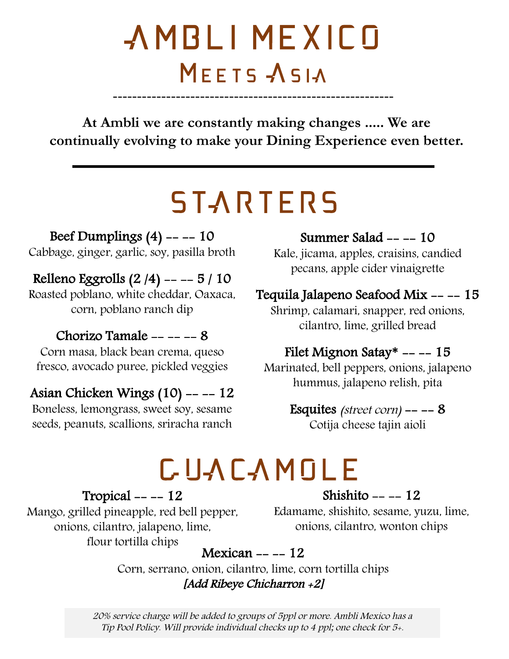# AMBLI MEXICO MEETS ASIA ----------------------------------------------------------

**At Ambli we are constantly making changes ..... We are continually evolving to make your Dining Experience even better.** 

# **STARTERS**

Beef Dumplings  $(4)$  -- -- 10 Cabbage, ginger, garlic, soy, pasilla broth

Relleno Eggrolls (2 /4) -- -- 5 / 10

Roasted poblano, white cheddar, Oaxaca, corn, poblano ranch dip

#### Chorizo Tamale  $--- 8$

Corn masa, black bean crema, queso fresco, avocado puree, pickled veggies

#### Asian Chicken Wings (10) -- -- 12

Boneless, lemongrass, sweet soy, sesame seeds, peanuts, scallions, sriracha ranch

#### Summer Salad -- -- 10

Kale, jicama, apples, craisins, candied pecans, apple cider vinaigrette

#### Tequila Jalapeno Seafood Mix -- -- 15

Shrimp, calamari, snapper, red onions, cilantro, lime, grilled bread

#### Filet Mignon Satay**\*** -- -- 15

Marinated, bell peppers, onions, jalapeno hummus, jalapeno relish, pita

# Esquites (street corn)  $--- 8$

Cotija cheese tajin aioli

# GUACAMOLE

Tropical -- -- 12

Shishito  $-- 12$ 

Mango, grilled pineapple, red bell pepper, onions, cilantro, jalapeno, lime, flour tortilla chips

Edamame, shishito, sesame, yuzu, lime, onions, cilantro, wonton chips

#### Mexican  $--- 12$

Corn, serrano, onion, cilantro, lime, corn tortilla chips [Add Ribeye Chicharron +2]

20% service charge will be added to groups of 5ppl or more. Ambli Mexico has a Tip Pool Policy. Will provide individual checks up to 4 ppl; one check for 5+.